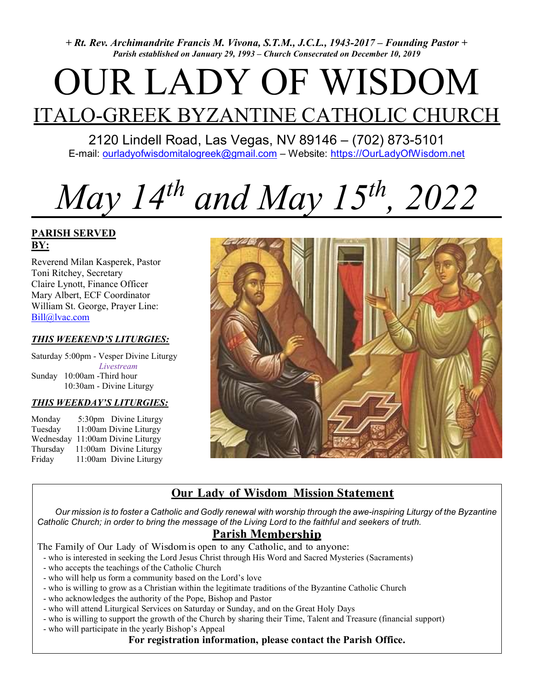+ Rt. Rev. Archimandrite Francis M. Vivona, S.T.M., J.C.L., 1943-2017 – Founding Pastor + Parish established on January 29, 1993 – Church Consecrated on December 10, 2019

# OUR LADY OF WISDOM ITALO-GREEK BYZANTINE CATHOLIC CHURCH

2120 Lindell Road, Las Vegas, NV 89146 – (702) 873-5101 E-mail: ourladyofwisdomitalogreek@gmail.com – Website: https://OurLadyOfWisdom.net

# May 14<sup>th</sup> and May 15<sup>th</sup>, 2022

## PARISH SERVED BY:

Reverend Milan Kasperek, Pastor Toni Ritchey, Secretary Claire Lynott, Finance Officer Mary Albert, ECF Coordinator William St. George, Prayer Line: Bill@lvac.com

#### THIS WEEKEND'S LITURGIES:

Saturday 5:00pm - Vesper Divine Liturgy Livestream Sunday 10:00am -Third hour 10:30am - Divine Liturgy

#### THIS WEEKDAY'S LITURGIES:

| Monday    | 5:30pm Divine Liturgy  |
|-----------|------------------------|
| Tuesday   | 11:00am Divine Liturgy |
| Wednesday | 11:00am Divine Liturgy |
| Thursday  | 11:00am Divine Liturgy |
| Friday    | 11:00am Divine Liturgy |



# Our Lady of Wisdom Mission Statement

 Our mission is to foster a Catholic and Godly renewal with worship through the awe-inspiring Liturgy of the Byzantine Catholic Church; in order to bring the message of the Living Lord to the faithful and seekers of truth.

# Parish Membership

The Family of Our Lady of Wisdom is open to any Catholic, and to anyone:

- who is interested in seeking the Lord Jesus Christ through His Word and Sacred Mysteries (Sacraments)
- who accepts the teachings of the Catholic Church
- who will help us form a community based on the Lord's love
- who is willing to grow as a Christian within the legitimate traditions of the Byzantine Catholic Church
- who acknowledges the authority of the Pope, Bishop and Pastor
- who will attend Liturgical Services on Saturday or Sunday, and on the Great Holy Days
- who is willing to support the growth of the Church by sharing their Time, Talent and Treasure (financial support)
- who will participate in the yearly Bishop's Appeal

## For registration information, please contact the Parish Office.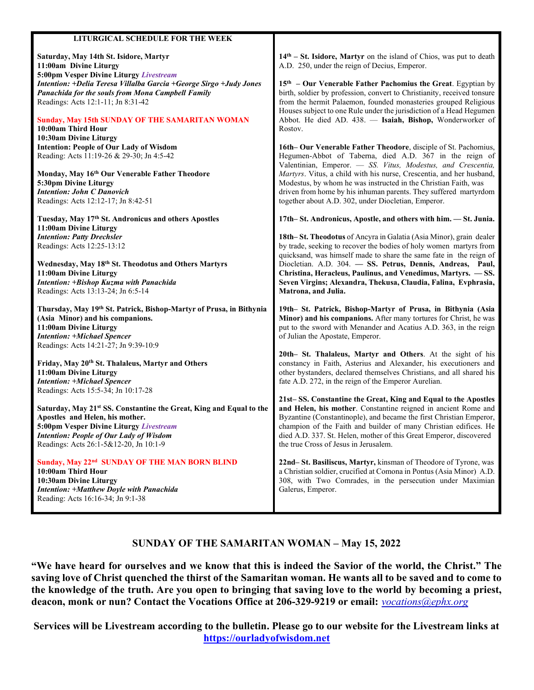| Saturday, May 14th St. Isidore, Martyr<br>11:00am Divine Liturgy<br>5:00pm Vesper Divine Liturgy Livestream<br>Intention: +Delia Teresa Villalba Garcia +George Sirgo +Judy Jones<br>Panachida for the souls from Mona Campbell Family<br>Readings: Acts 12:1-11; Jn 8:31-42<br><b>Sunday, May 15th SUNDAY OF THE SAMARITAN WOMAN</b><br>10:00am Third Hour<br>10:30am Divine Liturgy | $14th - St. Isidore, Martyr on the island of Chios, was put to death$<br>A.D. 250, under the reign of Decius, Emperor.<br>$15th$ – Our Venerable Father Pachomius the Great. Egyptian by<br>birth, soldier by profession, convert to Christianity, received tonsure<br>from the hermit Palaemon, founded monasteries grouped Religious<br>Houses subject to one Rule under the jurisdiction of a Head Hegumen<br>Abbot. He died AD. 438. - Isaiah, Bishop, Wonderworker of<br>Rostov. |
|---------------------------------------------------------------------------------------------------------------------------------------------------------------------------------------------------------------------------------------------------------------------------------------------------------------------------------------------------------------------------------------|---------------------------------------------------------------------------------------------------------------------------------------------------------------------------------------------------------------------------------------------------------------------------------------------------------------------------------------------------------------------------------------------------------------------------------------------------------------------------------------|
| <b>Intention: People of Our Lady of Wisdom</b><br>Reading: Acts 11:19-26 & 29-30; Jn 4:5-42<br>Monday, May 16th Our Venerable Father Theodore<br>5:30pm Divine Liturgy<br><b>Intention: John C Danovich</b><br>Readings: Acts 12:12-17; Jn 8:42-51                                                                                                                                    | 16th– Our Venerable Father Theodore, disciple of St. Pachomius,<br>Hegumen-Abbot of Taberna, died A.D. 367 in the reign of<br>Valentinian, Emperor. - SS. Vitus, Modestus, and Crescentia,<br>Martyrs. Vitus, a child with his nurse, Crescentia, and her husband,<br>Modestus, by whom he was instructed in the Christian Faith, was<br>driven from home by his inhuman parents. They suffered martyrdom<br>together about A.D. 302, under Diocletian, Emperor.                      |
| Tuesday, May 17th St. Andronicus and others Apostles                                                                                                                                                                                                                                                                                                                                  | 17th–St. Andronicus, Apostle, and others with him. - St. Junia.                                                                                                                                                                                                                                                                                                                                                                                                                       |
| 11:00am Divine Liturgy                                                                                                                                                                                                                                                                                                                                                                |                                                                                                                                                                                                                                                                                                                                                                                                                                                                                       |
| <b>Intention: Patty Drechsler</b><br>Readings: Acts 12:25-13:12                                                                                                                                                                                                                                                                                                                       | 18th–St. Theodotus of Ancyra in Galatia (Asia Minor), grain dealer<br>by trade, seeking to recover the bodies of holy women martyrs from                                                                                                                                                                                                                                                                                                                                              |
| Wednesday, May 18th St. Theodotus and Others Martyrs<br>11:00am Divine Liturgy<br>Intention: +Bishop Kuzma with Panachida<br>Readings: Acts 13:13-24; Jn 6:5-14                                                                                                                                                                                                                       | quicksand, was himself made to share the same fate in the reign of<br>Diocletian. A.D. 304. - SS. Petrus, Dennis, Andreas, Paul,<br>Christina, Heracleus, Paulinus, and Venedimus, Martyrs. - SS.<br>Seven Virgins; Alexandra, Thekusa, Claudia, Falina, Evphrasia,<br>Matrona, and Julia.                                                                                                                                                                                            |
| Thursday, May 19th St. Patrick, Bishop-Martyr of Prusa, in Bithynia<br>(Asia Minor) and his companions.                                                                                                                                                                                                                                                                               | 19th- St. Patrick, Bishop-Martyr of Prusa, in Bithynia (Asia<br>Minor) and his companions. After many tortures for Christ, he was                                                                                                                                                                                                                                                                                                                                                     |
| 11:00am Divine Liturgy<br><b>Intention: +Michael Spencer</b>                                                                                                                                                                                                                                                                                                                          | put to the sword with Menander and Acatius A.D. 363, in the reign<br>of Julian the Apostate, Emperor.                                                                                                                                                                                                                                                                                                                                                                                 |
| Readings: Acts 14:21-27; Jn 9:39-10:9                                                                                                                                                                                                                                                                                                                                                 | 20th- St. Thalaleus, Martyr and Others. At the sight of his                                                                                                                                                                                                                                                                                                                                                                                                                           |
| Friday, May 20th St. Thalaleus, Martyr and Others<br>11:00am Divine Liturgy<br><b>Intention: +Michael Spencer</b><br>Readings: Acts 15:5-34; Jn 10:17-28                                                                                                                                                                                                                              | constancy in Faith, Asterius and Alexander, his executioners and<br>other bystanders, declared themselves Christians, and all shared his<br>fate A.D. 272, in the reign of the Emperor Aurelian.                                                                                                                                                                                                                                                                                      |
| Saturday, May 21st SS. Constantine the Great, King and Equal to the<br>Apostles and Helen, his mother.<br>5:00pm Vesper Divine Liturgy Livestream<br><b>Intention: People of Our Lady of Wisdom</b><br>Readings: Acts 26:1-5&12-20, Jn 10:1-9                                                                                                                                         | 21st-SS. Constantine the Great, King and Equal to the Apostles<br>and Helen, his mother. Constantine reigned in ancient Rome and<br>Byzantine (Constantinople), and became the first Christian Emperor,<br>champion of the Faith and builder of many Christian edifices. He<br>died A.D. 337. St. Helen, mother of this Great Emperor, discovered<br>the true Cross of Jesus in Jerusalem.                                                                                            |
| Sunday, May 22 <sup>nd</sup> SUNDAY OF THE MAN BORN BLIND<br>10:00am Third Hour                                                                                                                                                                                                                                                                                                       | 22nd-St. Basiliscus, Martyr, kinsman of Theodore of Tyrone, was<br>a Christian soldier, crucified at Comona in Pontus (Asia Minor) A.D.                                                                                                                                                                                                                                                                                                                                               |

LITURGICAL SCHEDULE FOR THE WEEK

### SUNDAY OF THE SAMARITAN WOMAN – May 15, 2022

"We have heard for ourselves and we know that this is indeed the Savior of the world, the Christ." The saving love of Christ quenched the thirst of the Samaritan woman. He wants all to be saved and to come to the knowledge of the truth. Are you open to bringing that saving love to the world by becoming a priest, deacon, monk or nun? Contact the Vocations Office at 206-329-9219 or email: vocations@ephx.org

Services will be Livestream according to the bulletin. Please go to our website for the Livestream links at https://ourladyofwisdom.net